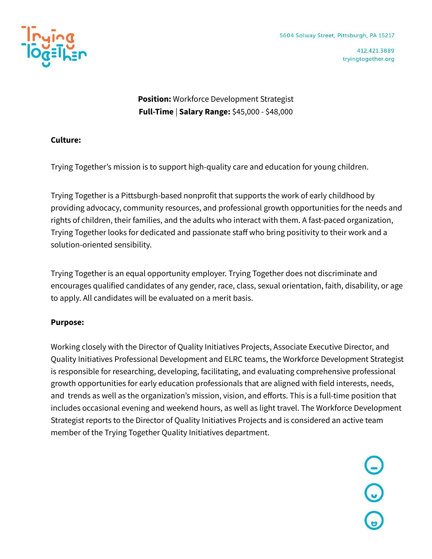

412.421.3889 tryingtogether.org

<u>(၁</u><br>(၁

**Position:** Workforce Development Strategist **Full-Time** | **Salary Range:** \$45,000 - \$48,000

### **Culture:**

Trying Together's mission is to support high-quality care and education for young children.

Trying Together is a Pittsburgh-based nonprofit that supports the work of early childhood by providing advocacy, community resources, and professional growth opportunities for the needs and rights of children, their families, and the adults who interact with them. A fast-paced organization, Trying Together looks for dedicated and passionate staff who bring positivity to their work and a solution-oriented sensibility.

Trying Together is an equal opportunity employer. Trying Together does not discriminate and encourages qualified candidates of any gender, race, class, sexual orientation, faith, disability, or age to apply. All candidates will be evaluated on a merit basis.

## **Purpose:**

Working closely with the Director of Quality Initiatives Projects, Associate Executive Director, and Quality Initiatives Professional Development and ELRC teams, the Workforce Development Strategist is responsible for researching, developing, facilitating, and evaluating comprehensive professional growth opportunities for early education professionals that are aligned with field interests, needs, and trends as well as the organization's mission, vision, and efforts. This is a full-time position that includes occasional evening and weekend hours, as well as light travel. The Workforce Development Strategist reports to the Director of Quality Initiatives Projects and is considered an active team member of the Trying Together Quality Initiatives department.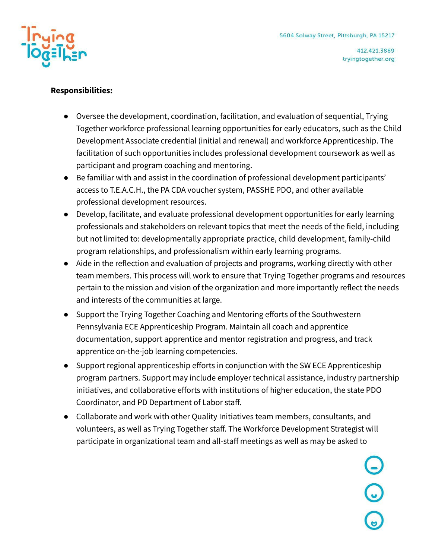

0<br>0<br>0

### **Responsibilities:**

- Oversee the development, coordination, facilitation, and evaluation of sequential, Trying Together workforce professional learning opportunities for early educators, such as the Child Development Associate credential (initial and renewal) and workforce Apprenticeship. The facilitation of such opportunities includes professional development coursework as well as participant and program coaching and mentoring.
- Be familiar with and assist in the coordination of professional development participants' access to T.E.A.C.H., the PA CDA voucher system, PASSHE PDO, and other available professional development resources.
- Develop, facilitate, and evaluate professional development opportunities for early learning professionals and stakeholders on relevant topics that meet the needs of the field, including but not limited to: developmentally appropriate practice, child development, family-child program relationships, and professionalism within early learning programs.
- Aide in the reflection and evaluation of projects and programs, working directly with other team members. This process will work to ensure that Trying Together programs and resources pertain to the mission and vision of the organization and more importantly reflect the needs and interests of the communities at large.
- Support the Trying Together Coaching and Mentoring efforts of the Southwestern Pennsylvania ECE Apprenticeship Program. Maintain all coach and apprentice documentation, support apprentice and mentor registration and progress, and track apprentice on-the-job learning competencies.
- Support regional apprenticeship efforts in conjunction with the SW ECE Apprenticeship program partners. Support may include employer technical assistance, industry partnership initiatives, and collaborative efforts with institutions of higher education, the state PDO Coordinator, and PD Department of Labor staff.
- Collaborate and work with other Quality Initiatives team members, consultants, and volunteers, as well as Trying Together staff. The Workforce Development Strategist will participate in organizational team and all-staff meetings as well as may be asked to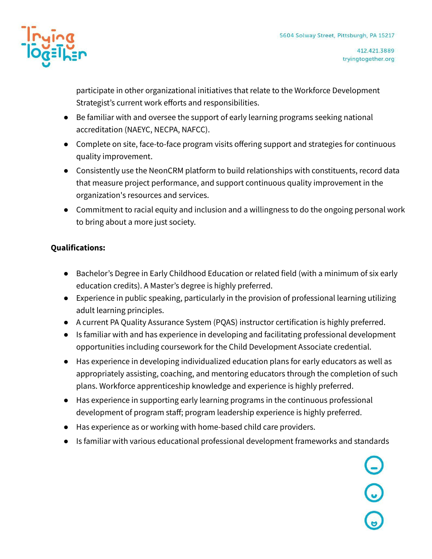

412.421.3889 tryingtogether.org

0<br>0<br>0

participate in other organizational initiatives that relate to the Workforce Development Strategist's current work efforts and responsibilities.

- Be familiar with and oversee the support of early learning programs seeking national accreditation (NAEYC, NECPA, NAFCC).
- Complete on site, face-to-face program visits offering support and strategies for continuous quality improvement.
- Consistently use the NeonCRM platform to build relationships with constituents, record data that measure project performance, and support continuous quality improvement in the organization's resources and services.
- Commitment to racial equity and inclusion and a willingness to do the ongoing personal work to bring about a more just society.

# **Qualifications:**

- Bachelor's Degree in Early Childhood Education or related field (with a minimum of six early education credits). A Master's degree is highly preferred.
- Experience in public speaking, particularly in the provision of professional learning utilizing adult learning principles.
- A current PA Quality Assurance System (PQAS) instructor certification is highly preferred.
- Is familiar with and has experience in developing and facilitating professional development opportunities including coursework for the Child Development Associate credential.
- Has experience in developing individualized education plans for early educators as well as appropriately assisting, coaching, and mentoring educators through the completion of such plans. Workforce apprenticeship knowledge and experience is highly preferred.
- Has experience in supporting early learning programs in the continuous professional development of program staff; program leadership experience is highly preferred.
- Has experience as or working with home-based child care providers.
- Is familiar with various educational professional development frameworks and standards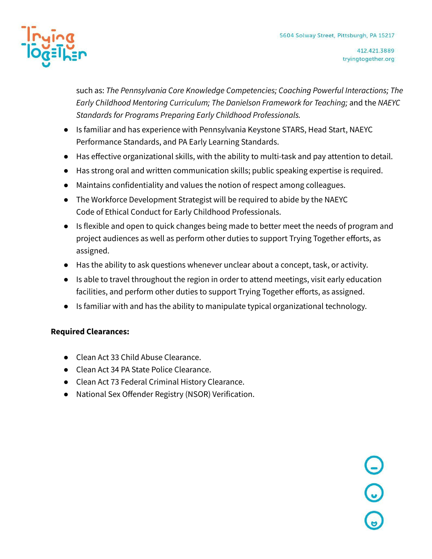

412.421.3889 tryingtogether.org

00<br>0

such as: *The Pennsylvania Core Knowledge Competencies; Coaching Powerful Interactions; The Early Childhood Mentoring Curriculum; The Danielson Framework for Teaching;* and the *NAEYC Standards for Programs Preparing Early Childhood Professionals.*

- Is familiar and has experience with Pennsylvania Keystone STARS, Head Start, NAEYC Performance Standards, and PA Early Learning Standards.
- Has effective organizational skills, with the ability to multi-task and pay attention to detail.
- Has strong oral and written communication skills; public speaking expertise is required.
- Maintains confidentiality and values the notion of respect among colleagues.
- The Workforce Development Strategist will be required to abide by the NAEYC Code of Ethical Conduct for Early Childhood Professionals.
- Is flexible and open to quick changes being made to better meet the needs of program and project audiences as well as perform other duties to support Trying Together efforts, as assigned.
- Has the ability to ask questions whenever unclear about a concept, task, or activity.
- Is able to travel throughout the region in order to attend meetings, visit early education facilities, and perform other duties to support Trying Together efforts, as assigned.
- Is familiar with and has the ability to manipulate typical organizational technology.

# **Required Clearances:**

- Clean Act 33 Child Abuse Clearance.
- Clean Act 34 PA State Police Clearance.
- Clean Act 73 Federal Criminal History Clearance.
- National Sex Offender Registry (NSOR) Verification.